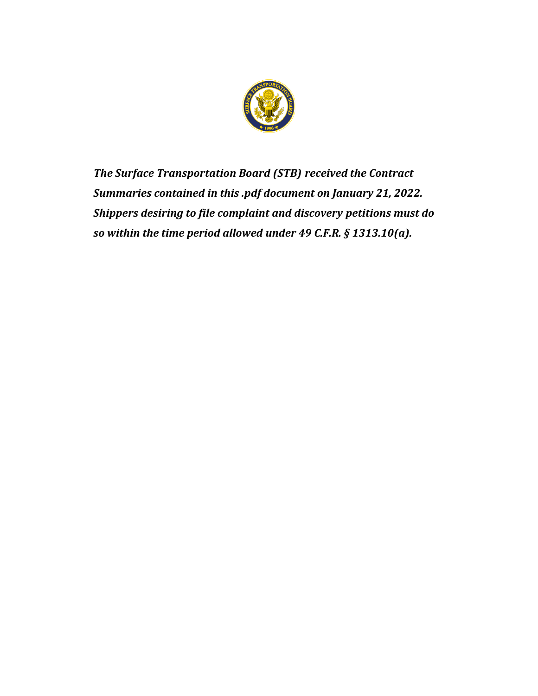

*The Surface Transportation Board (STB) received the Contract Summaries contained in this .pdf document on January 21, 2022. Shippers desiring to file complaint and discovery petitions must do so within the time period allowed under 49 C.F.R. § 1313.10(a).*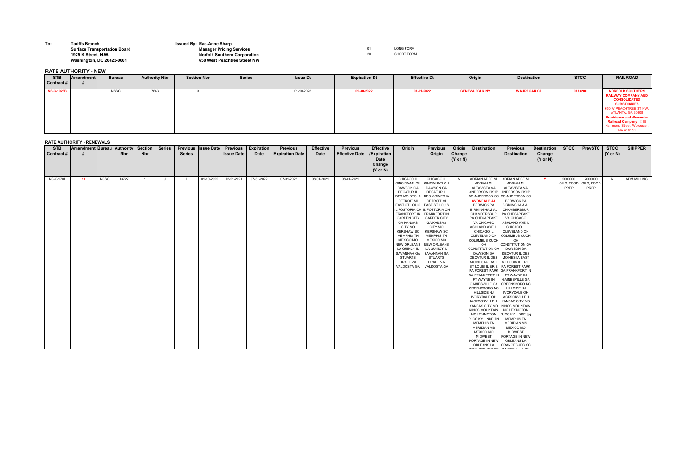**To: Tariffs Branch Issued By: Rae-Anne Sharp**

## **Surface Transportation Board Manager Pricing Services** 01 LONG FORM **1925 K Street, N.W. Norfolk Southern Corporation** 20 SHORT FORM **Washington, DC 20423-0001 650 West Peachtree Street NW**

**RATE AUTHORITY - NEW**

## **RATE AUTHORITY - RENEWALS**

| <b>STB</b><br>Contract # | Amendment Bureau Authority   Section |             | <b>Nbr</b> | <b>Nbr</b>     | <b>Series</b> | <b>Series</b>  | <b>Previous Issue Date</b> | <b>Previous</b><br><b>Issue Date</b> | <b>Expiration</b><br><b>Date</b> | <b>Previous</b><br><b>Expiration Date</b> | <b>Effective</b><br><b>Date</b> | <b>Previous</b><br><b>Effective Date</b> | <b>Effective</b><br>/Expiration<br><b>Date</b><br>Change<br>$(Y \text{ or } N)$ | Origin                                                                                                                                                                                                                                                                                                                                                                   | <b>Previous</b><br>Origin                                                                                                                                                                                                                                                                                                                                                                                               | Origin<br>Change<br>$(Y$ or N) | <b>Destination</b>                                                                                                                                                                                                                                                                                                                                                                                                                                                                                                                                                                                                                                                                                                              | <b>Previous</b><br><b>Destination</b>                                                                                                                                                                                                                                                                                                                                                                                                                                                                                                                                                                                                                                                                                                                                                                                                                    | <b>Destination</b><br>Change<br>$(Y \text{ or } N)$ | <b>STCC</b>                   | <b>PrevSTC</b>                | <b>STCC</b><br>$(Y \text{ or } N)$ | <b>SHIPPER</b>     |
|--------------------------|--------------------------------------|-------------|------------|----------------|---------------|----------------|----------------------------|--------------------------------------|----------------------------------|-------------------------------------------|---------------------------------|------------------------------------------|---------------------------------------------------------------------------------|--------------------------------------------------------------------------------------------------------------------------------------------------------------------------------------------------------------------------------------------------------------------------------------------------------------------------------------------------------------------------|-------------------------------------------------------------------------------------------------------------------------------------------------------------------------------------------------------------------------------------------------------------------------------------------------------------------------------------------------------------------------------------------------------------------------|--------------------------------|---------------------------------------------------------------------------------------------------------------------------------------------------------------------------------------------------------------------------------------------------------------------------------------------------------------------------------------------------------------------------------------------------------------------------------------------------------------------------------------------------------------------------------------------------------------------------------------------------------------------------------------------------------------------------------------------------------------------------------|----------------------------------------------------------------------------------------------------------------------------------------------------------------------------------------------------------------------------------------------------------------------------------------------------------------------------------------------------------------------------------------------------------------------------------------------------------------------------------------------------------------------------------------------------------------------------------------------------------------------------------------------------------------------------------------------------------------------------------------------------------------------------------------------------------------------------------------------------------|-----------------------------------------------------|-------------------------------|-------------------------------|------------------------------------|--------------------|
| NS-C-1701                | 19                                   | <b>NSSC</b> | 13727      | $\overline{1}$ | J             | $\blacksquare$ | 01-10-2022                 | 12-21-2021                           | 07-31-2022                       | 07-31-2022                                | 08-01-2021                      | 08-01-2021                               | N                                                                               | CHICAGO IL<br><b>CINCINNATI OH</b><br>DAWSON GA<br><b>DECATUR IL</b><br><b>DES MOINES IA</b><br><b>DETROIT MI</b><br>IL FOSTORIA OH<br><b>FRANKFORT IN</b><br><b>GARDEN CITY</b><br><b>GA KANSAS</b><br>CITY MO<br><b>KERSHAW SC</b><br><b>MEMPHIS TN</b><br>MEXICO MO<br><b>NEW ORLEANS</b><br>LA QUINCY IL<br>SAVANNAH GA<br><b>STUARTS</b><br>DRAFT VA<br>VALDOSTA GA | CHICAGO IL<br><b>CINCINNATI OH</b><br>DAWSON GA<br><b>DECATUR IL</b><br><b>DES MOINES IA</b><br><b>DETROIT MI</b><br>EAST ST LOUIS EAST ST LOUIS<br><b>I</b> IL FOSTORIA OF<br><b>FRANKFORT IN</b><br><b>GARDEN CITY</b><br><b>GA KANSAS</b><br>CITY MO<br><b>KERSHAW SC</b><br><b>MEMPHIS TN</b><br>MEXICO MO<br><b>NEW ORLEANS</b><br>LA QUINCY IL<br><b>SAVANNAH GA</b><br>STUARTS<br><b>DRAFT VA</b><br>VALDOSTA GA | N I                            | ADRIAN ADBF MI<br>ADRIAN MI<br>ALTAVISTA VA<br>ANDERSON PKHP<br><b>SC ANDERSON SC</b><br><b>AVONDALE AL</b><br><b>BERWICK PA</b><br><b>BIRMINGHAM AL</b><br>CHAMBERSBUR<br>PA CHESAPEAKE<br>VA CHICAGO<br>ASHLAND AVE IL<br>CHICAGO IL<br>CLEVELAND OH<br><b>COLUMBUS CUOH</b><br>OH<br><b>CONSTITUTION GA</b><br><b>DAWSON GA</b><br>DECATUR IL DES<br>MOINES IA EAST ST LOUIS IL ERIE<br><b>GA FRANKFORT IN</b><br>FT WAYNE IN<br><b>GAINESVILLE GA</b><br><b>GREENSBORO NC</b><br><b>HILLSIDE NJ</b><br><b>IVORYDALE OH</b><br>JACKSONVILLE IL<br><b>KINGS MOUNTAIN</b><br><b>NC LEXINGTON</b><br>RJCC KY LINDE TN<br>MEMPHIS TN<br><b>MERIDIAN MS</b><br><b>MEXICO MO</b><br><b>MIDWEST</b><br>PORTAGE IN NEW<br>ORLEANS LA | ADRIAN ADBF MI<br><b>ADRIAN MI</b><br>ALTAVISTA VA<br>ANDERSON PKHP<br><b>SC ANDERSON SC</b><br><b>BERWICK PA</b><br><b>BIRMINGHAM AL</b><br><b>CHAMBERSBUR</b><br><b>PA CHESAPEAKE</b><br>VA CHICAGO<br>ASHLAND AVE IL<br><b>CHICAGO IL</b><br><b>CLEVELAND OH</b><br><b>COLUMBUS CUOH</b><br>OH<br><b>CONSTITUTION GA</b><br><b>DAWSON GA</b><br>DECATUR IL DES<br><b>MOINES IA EAST</b><br>ST LOUIS IL ERIE   PA FOREST PARK<br>PA FOREST PARK GA FRANKFORT IN<br>FT WAYNE IN<br><b>GAINESVILLE GA</b><br><b>GREENSBORO NO</b><br><b>HILLSIDE NJ</b><br><b>IVORYDALE OH</b><br><b>JACKSONVILLE II</b><br><b>KANSAS CITY MO</b><br>KANSAS CITY MO   KINGS MOUNTAIN<br><b>NC LEXINGTON</b><br>RJCC KY LINDE TN<br><b>MEMPHIS TN</b><br><b>MERIDIAN MS</b><br><b>MEXICO MO</b><br><b>MIDWEST</b><br>PORTAGE IN NEW<br>ORLEANS LA<br><b>ORANGEBURG SC</b> | $\mathbf{Y}$                                        | 2000000<br>OILS, FOOD<br>PREP | 2000000<br>OILS, FOOD<br>PREP | N                                  | <b>ADM MILLING</b> |

| <b>STB</b>        | <b>Amendment</b> | <b>Bureau</b> | <b>Authority Nbr</b> | <b>Section Nbr</b> | <b>Series</b> | <b>Issue Dt</b> | <b>Expiration Dt</b> | <b>Effective Dt</b> | Origin                | <b>Destination</b> | <b>STCC</b> | <b>RAILROAD</b>                                                                                                                                                                                                                                                 |
|-------------------|------------------|---------------|----------------------|--------------------|---------------|-----------------|----------------------|---------------------|-----------------------|--------------------|-------------|-----------------------------------------------------------------------------------------------------------------------------------------------------------------------------------------------------------------------------------------------------------------|
| Contract #        |                  |               |                      |                    |               |                 |                      |                     |                       |                    |             |                                                                                                                                                                                                                                                                 |
| <b>NS-C-1928B</b> |                  | <b>NSSC</b>   | 7643                 |                    |               | 01-10-2022      | 09-30-2022           | 01-01-2022          | <b>GENEVA FGLK NY</b> | <b>WAUREGAN CT</b> | 0113200     | <b>NORFOLK SOUTHERN</b><br><b>RAILWAY COMPANY AND</b><br><b>CONSOLIDATED</b><br><b>SUBSIDIARIES</b><br>650 W PEACHTREE ST NW,<br>ATLANTA, GA 30308<br><b>Providence and Worcester</b><br>Railroad Company 075<br><b>Hammond Street, Worcester,</b><br>MA 01610□ |

ORANGEBURG SC

PAINESVILLE OH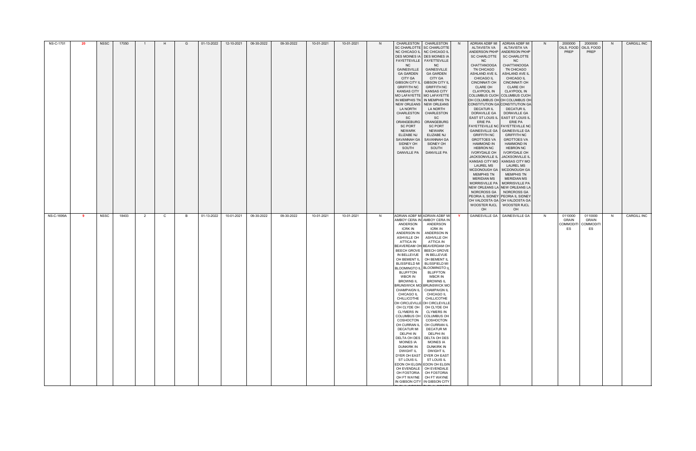| <b>NS-C-1701</b> | 20 | <b>NSSC</b> | 17050 |   |              | G | 01-13-2022 | 12-10-2021 | 09-30-2022 | 09-30-2022 | 10-01-2021 | 10-01-2021 | N. | CHARLESTON<br>SC CHARLOTTE SC CHARLOTTE<br>NC CHICAGO IL NC CHICAGO IL<br>FAYETTEVILLE   FAYETTEVILLE<br><b>NC</b><br><b>GAINESVILLE</b><br><b>GA GARDEN</b><br>CITY GA<br><b>GIBSON CITY IL</b><br><b>GRIFFITH NC</b><br><b>KANSAS CITY</b><br><b>MO LAFAYETTE</b><br>LA NORTH<br>CHARLESTON<br><b>SC</b><br>ORANGEBURG<br><b>SC PORT</b><br><b>NEWARK</b><br><b>ELIZABE NJ</b><br>SAVANNAH GA<br>SIDNEY OH<br>SOUTH<br><b>DANVILLE PA</b>                                                                                                                              | CHARLESTON<br>DES MOINES IA DES MOINES IA<br>NC<br><b>GAINESVILLE</b><br><b>GA GARDEN</b><br><b>CITY GA</b><br><b>GIBSON CITY IL</b><br><b>GRIFFITH NC</b><br><b>KANSAS CITY</b><br>MO LAFAYETTE<br>IN MEMPHIS TN   IN MEMPHIS TN<br>NEW ORLEANS   NEW ORLEANS<br>LA NORTH<br>CHARLESTON<br><b>SC</b><br>ORANGEBURG<br><b>SC PORT</b><br><b>NEWARK</b><br>ELIZABE NJ<br>SAVANNAH GA<br>SIDNEY OH<br>SOUTH<br><b>DANVILLE PA</b>                                                                                                                                                                                                                                                                                                                                                                          | N. | ADRIAN ADBF MI<br>ALTAVISTA VA<br>SC CHARLOTTE<br>NC<br><b>CHATTANOOGA</b><br>TN CHICAGO<br>ASHLAND AVE IL<br><b>CHICAGO IL</b><br><b>CINCINNATI OH</b><br><b>CLARE OH</b><br>CLAYPOOL IN<br>COLUMBUS CUOH COLUMBUS CUOH<br><b>DECATUR IL</b><br>DORAVILLE GA<br>EAST ST LOUIS IL EAST ST LOUIS IL<br>ERIE PA<br><b>FAYETTEVILLE NC FAYETTEVILLE NC</b><br><b>GAINESVILLE GA</b><br><b>GRIFFITH NC</b><br><b>GROTTOES VA</b><br><b>HAMMOND IN</b><br><b>HEBRON NC</b><br>IVORYDALE OH<br>JACKSONVILLE IL<br><b>LAUREL MS</b><br>MCDONOUGH GA<br><b>MEMPHIS TN</b><br><b>MERIDIAN MS</b><br>MORRISVILLE PA<br>NEW ORLEANS LA NEW ORLEANS LA<br>NORCROSS GA<br>PEORIA IL SIDNEY PEORIA IL SIDNEY<br>OH | ADRIAN ADBF MI<br>ALTAVISTA VA<br>ANDERSON PKHP ANDERSON PKHP<br><b>SC CHARLOTTE</b><br>NC<br>CHATTANOOGA<br>TN CHICAGO<br>ASHLAND AVE IL<br><b>CHICAGO IL</b><br><b>CINCINNATI OH</b><br><b>CLARE OH</b><br><b>CLAYPOOL IN</b><br>OH COLUMBUS OH OH COLUMBUS OH<br>CONSTITUTION GA CONSTITUTION GA<br><b>DECATUR IL</b><br>DORAVILLE GA<br>ERIE PA<br><b>GAINESVILLE GA</b><br><b>GRIFFITH NC</b><br><b>GROTTOES VA</b><br><b>HAMMOND IN</b><br><b>HEBRON NC</b><br>IVORYDALE OH<br><b>JACKSONVILLE IL</b><br>KANSAS CITY MO   KANSAS CITY MO<br><b>LAUREL MS</b><br>MCDONOUGH GA<br><b>MEMPHIS TN</b><br><b>MERIDIAN MS</b><br>MORRISVILLE PA<br>NORCROSS GA<br>OH VALDOSTA GA OH VALDOSTA GA<br>WOOSTER RJCL   WOOSTER RJCL<br>OH | N. | 2000000<br>PREP        | 2000000<br>OILS, FOOD   OILS, FOOD<br>PREP           | N. | <b>CARGILL INC</b> |
|------------------|----|-------------|-------|---|--------------|---|------------|------------|------------|------------|------------|------------|----|--------------------------------------------------------------------------------------------------------------------------------------------------------------------------------------------------------------------------------------------------------------------------------------------------------------------------------------------------------------------------------------------------------------------------------------------------------------------------------------------------------------------------------------------------------------------------|----------------------------------------------------------------------------------------------------------------------------------------------------------------------------------------------------------------------------------------------------------------------------------------------------------------------------------------------------------------------------------------------------------------------------------------------------------------------------------------------------------------------------------------------------------------------------------------------------------------------------------------------------------------------------------------------------------------------------------------------------------------------------------------------------------|----|------------------------------------------------------------------------------------------------------------------------------------------------------------------------------------------------------------------------------------------------------------------------------------------------------------------------------------------------------------------------------------------------------------------------------------------------------------------------------------------------------------------------------------------------------------------------------------------------------------------------------------------------------------------------------------------------------|--------------------------------------------------------------------------------------------------------------------------------------------------------------------------------------------------------------------------------------------------------------------------------------------------------------------------------------------------------------------------------------------------------------------------------------------------------------------------------------------------------------------------------------------------------------------------------------------------------------------------------------------------------------------------------------------------------------------------------------|----|------------------------|------------------------------------------------------|----|--------------------|
| NS-C-1699A       | -9 | <b>NSSC</b> | 18403 | 2 | $\mathsf{C}$ | в | 01-13-2022 | 10-01-2021 | 09-30-2022 | 09-30-2022 | 10-01-2021 | 10-01-2021 | N. | ANDERSON<br><b>ICRK IN</b><br>ANDERSON IN<br>ASHVILLE OH<br>ATTICA IN<br>BEAVERDAM OH BEAVERDAM OH<br>IN BELLEVUE<br>OH BEMENT IL<br><b>BLISSFIELD MI</b><br><b>BLOOMINGTO IL</b><br><b>BLUFFTON</b><br><b>WBCR IN</b><br><b>BROWNS IL</b><br><b>CHAMPAIGN IL</b><br>CHICAGO IL<br>CHILLICOTHE<br>OH CLYDE OH<br><b>CLYMERS IN</b><br><b>COLUMBUS OH</b><br>COSHOCTON<br>OH CURRAN IL<br><b>DECATUR MI</b><br><b>DELPHI IN</b><br>DELTA OH DES<br><b>MOINES IA</b><br><b>DUNKIRK IN</b><br><b>DWIGHT IL</b><br>DYER OH EAST<br>ST LOUIS IL<br>OH EVENDALE<br>OH FOSTORIA | ADRIAN ADBF MI ADRIAN ADBF MI<br>AMBOY CERA IN AMBOY CERA IN<br>ANDERSON<br><b>ICRK IN</b><br>ANDERSON IN<br>ASHVILLE OH<br><b>ATTICA IN</b><br>BEECH GROVE   BEECH GROVE<br>IN BELLEVUE<br>OH BEMENT IL<br><b>BLISSFIELD MI</b><br><b>BLOOMINGTO IL</b><br><b>BLUFFTON</b><br><b>WBCR IN</b><br><b>BROWNS IL</b><br><b>BRUNSWICK MO BRUNSWICK MO</b><br><b>CHAMPAIGN IL</b><br><b>CHICAGO IL</b><br>CHILLICOTHE<br>OH CIRCLEVILLE OH CIRCLEVILLE<br>OH CLYDE OH<br><b>CLYMERS IN</b><br><b>COLUMBUS OH</b><br>COSHOCTON<br>OH CURRAN IL<br><b>DECATUR MI</b><br>DELPHI IN<br>DELTA OH DES<br><b>MOINES IA</b><br>DUNKIRK IN<br><b>DWIGHT IL</b><br>DYER OH EAST<br>ST LOUIS IL<br>EDON OH ELGIN EDON OH ELGIN<br>OH EVENDALE<br>OH FOSTORIA<br>OH FT WAYNE OH FT WAYNE<br>IN GIBSON CITY IN GIBSON CITY |    |                                                                                                                                                                                                                                                                                                                                                                                                                                                                                                                                                                                                                                                                                                      | GAINESVILLE GA   GAINESVILLE GA                                                                                                                                                                                                                                                                                                                                                                                                                                                                                                                                                                                                                                                                                                      | N. | 0110000<br>GRAIN<br>ES | 0110000<br><b>GRAIN</b><br>COMMODITI COMMODITI<br>ES | -N | <b>CARGILL INC</b> |